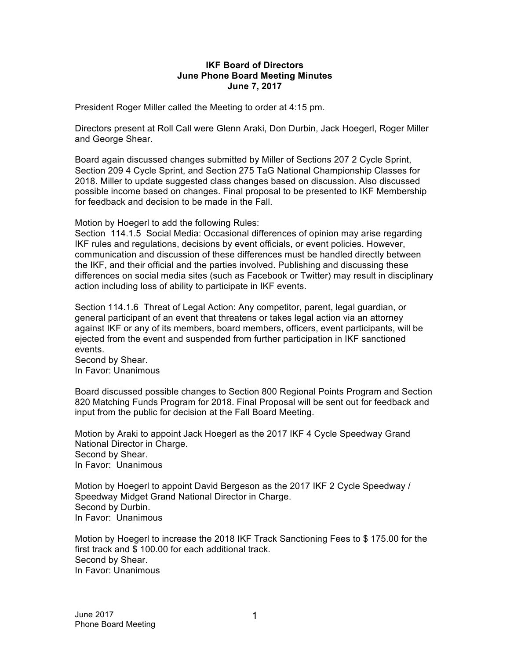## **IKF Board of Directors June Phone Board Meeting Minutes June 7, 2017**

President Roger Miller called the Meeting to order at 4:15 pm.

Directors present at Roll Call were Glenn Araki, Don Durbin, Jack Hoegerl, Roger Miller and George Shear.

Board again discussed changes submitted by Miller of Sections 207 2 Cycle Sprint, Section 209 4 Cycle Sprint, and Section 275 TaG National Championship Classes for 2018. Miller to update suggested class changes based on discussion. Also discussed possible income based on changes. Final proposal to be presented to IKF Membership for feedback and decision to be made in the Fall.

Motion by Hoegerl to add the following Rules:

Section 114.1.5 Social Media: Occasional differences of opinion may arise regarding IKF rules and regulations, decisions by event officials, or event policies. However, communication and discussion of these differences must be handled directly between the IKF, and their official and the parties involved. Publishing and discussing these differences on social media sites (such as Facebook or Twitter) may result in disciplinary action including loss of ability to participate in IKF events.

Section 114.1.6 Threat of Legal Action: Any competitor, parent, legal guardian, or general participant of an event that threatens or takes legal action via an attorney against IKF or any of its members, board members, officers, event participants, will be ejected from the event and suspended from further participation in IKF sanctioned events.

Second by Shear. In Favor: Unanimous

Board discussed possible changes to Section 800 Regional Points Program and Section 820 Matching Funds Program for 2018. Final Proposal will be sent out for feedback and input from the public for decision at the Fall Board Meeting.

Motion by Araki to appoint Jack Hoegerl as the 2017 IKF 4 Cycle Speedway Grand National Director in Charge. Second by Shear. In Favor: Unanimous

Motion by Hoegerl to appoint David Bergeson as the 2017 IKF 2 Cycle Speedway / Speedway Midget Grand National Director in Charge. Second by Durbin. In Favor: Unanimous

Motion by Hoegerl to increase the 2018 IKF Track Sanctioning Fees to \$ 175.00 for the first track and \$ 100.00 for each additional track. Second by Shear. In Favor: Unanimous